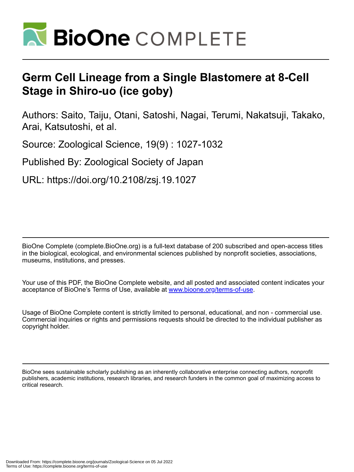

# **Germ Cell Lineage from a Single Blastomere at 8-Cell Stage in Shiro-uo (ice goby)**

Authors: Saito, Taiju, Otani, Satoshi, Nagai, Terumi, Nakatsuji, Takako, Arai, Katsutoshi, et al.

Source: Zoological Science, 19(9) : 1027-1032

Published By: Zoological Society of Japan

URL: https://doi.org/10.2108/zsj.19.1027

BioOne Complete (complete.BioOne.org) is a full-text database of 200 subscribed and open-access titles in the biological, ecological, and environmental sciences published by nonprofit societies, associations, museums, institutions, and presses.

Your use of this PDF, the BioOne Complete website, and all posted and associated content indicates your acceptance of BioOne's Terms of Use, available at www.bioone.org/terms-of-use.

Usage of BioOne Complete content is strictly limited to personal, educational, and non - commercial use. Commercial inquiries or rights and permissions requests should be directed to the individual publisher as copyright holder.

BioOne sees sustainable scholarly publishing as an inherently collaborative enterprise connecting authors, nonprofit publishers, academic institutions, research libraries, and research funders in the common goal of maximizing access to critical research.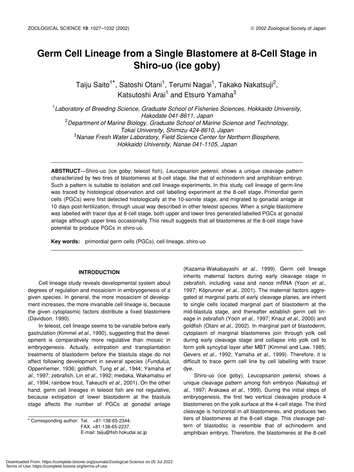# **Germ Cell Lineage from a Single Blastomere at 8-Cell Stage in Shiro-uo (ice goby)**

Taiju Saito<sup>1\*</sup>, Satoshi Otani<sup>1</sup>, Terumi Nagai<sup>1</sup>, Takako Nakatsuji<sup>2</sup>, Katsutoshi Arai<sup>1</sup> and Etsuro Yamaha<sup>3</sup>

1 *Laboratory of Breeding Science, Graduate School of Fisheries Sciences, Hokkaido University, Hakodate 041-8611, Japan* 2 *Department of Marine Biology, Graduate School of Marine Science and Technology, Tokai University, Shimizu 424-8610, Japan* 3 *Nanae Fresh Water Laboratory, Field Science Center for Northern Biosphere, Hokkaido University, Nanae 041-1105, Japan*

**ABSTRUCT**—Shiro-uo (ice goby; teleost fish), *Leucopsarion petersii,* shows a unique cleavage pattern characterized by two tires of blastomeres at 8-cell stage, like that of echinoderm and amphibian embryo. Such a pattern is suitable to isolation and cell lineage experiments. In this study, cell lineage of germ-line was traced by histological observation and cell labelling experiment at the 8-cell stage. Primordial germ cells (PGCs) were first detected histologically at the 10-somite stage, and migrated to gonadal anlage at 10 days post-fertilization, through usual way described in other teleost species. When a single blastomere was labelled with tracer dye at 8-cell stage, both upper and lower tires generated labelled PGCs at gonadal anlage although upper tires occasionally. This result suggests that all blastomeres at the 8-cell stage have potential to produce PGCs in shiro-uo.

**Key words:** primordial germ cells (PGCs), cell lineage, shiro-uo

# **INTRODUCTION**

Cell lineage study reveals developmental system about degrees of regulation and mosaicism in embryogenesis of a given species. In general, the more mosaicism of development increases, the more invariable cell lineage is, because the given cytoplasmic factors distribute a fixed blastomere (Davidson, 1990).

In teleost, cell lineage seems to be variable before early gastrulation (Kimmel *et al*., 1990), suggesting that the development is comparatively more regulative than mosaic in embryogenesis. Actually, extirpation and transplantation treatments of blastoderm before the blastula stage do not affect following development in several species (*Fundulus*, Oppenhemer, 1936; goldfish, Tung *et al*., 1944; Yamaha *et al*., 1997; zebrafish, Lin *et al*., 1992; medaka, Wakamatsu *et al*., 1994; rainbow trout, Takeuchi *et al*., 2001). On the other hand, germ cell lineages in teleost fish are not regulative, because extirpation of lower blastoderm at the blastula stage affects the number of PGCs at gonadal anlage

\* Corresponding author: Tel. +81-138-65-2344; FAX. +81-138-65-2237. E-mail: taiju@fish.hokudai.ac.jp

(Kazama-Wakabayashi *et al*., 1999). Germ cell lineage inherits maternal factors during early cleavage stage in zebrafish, including *vasa* and *nanos* mRNA (Yoon *et al*., 1997; Köprunner *et al*., 2001). The maternal factors aggregated at marginal parts of early cleavage planes, are inherit to single cells located marginal part of blastoderm at the mid-blastula stage, and thereafter establish germ cell lineage in zebrafish (Yoon *et al*., 1997; Knaut *et al*., 2000) and goldfish (Otani *et al*., 2002). In marginal part of blastoderm, cytoplasm of marginal blastomeres join through yolk cell during early cleavage stage and collapse into yolk cell to form yolk syncytial layer after MBT (Kimmel and Law, 1985; Gevers *et al*., 1992; Yamaha *et al*., 1999). Therefore, it is difficult to trace germ cell line by cell labelling with tracer dye.

Shiro-uo (ice goby), *Leucopsarion petersii*, shows a unique cleavage pattern among fish embryos (Nakatsuji *et al*., 1997; Arakawa *et al*., 1999). During the initial steps of embryogenesis, the first two vertical cleavages produce 4 blastomeres on the yolk surface at the 4-cell stage. The third cleavage is horizontal in all blastomeres, and produces two tiers of blastomeres at the 8-cell stage. This cleavage pattern of blastodisc is resemble that of echinoderm and amphibian embryo. Therefore, the blastomeres at the 8-cell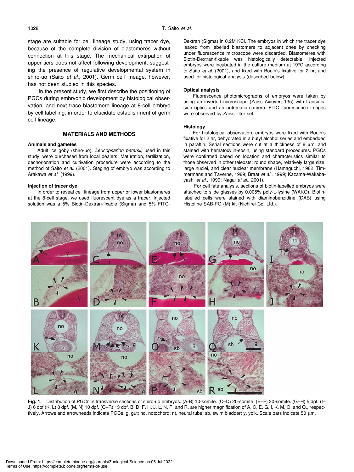stage are suitable for cell lineage study, using tracer dye, because of the complete division of blastomeres without connection at this stage. The mechanical extirpation of upper tiers does not affect following development, suggesting the presence of regulative developmental system in shiro-uo (Saito *et al*., 2001). Germ cell lineage, however, has not been studied in this species.

In the present study, we first describe the positioning of PGCs during embryonic development by histological observation, and next trace blastomere lineage at 8-cell embryo by cell labelling, in order to elucidate establishment of germ cell lineage.

#### **MATERIALS AND METHODS**

#### **Animals and gametes**

Adult ice goby (shiro-uo), *Leucopsarion petersii*, used in this study, were purchased from local dealers. Maturation, fertilization, dechorionation and cultivation procedure were according to the method of Saito *et al*. (2001). Staging of embryo was according to Arakawa *et al*. (1999).

#### **Injection of tracer dye**

In order to reveal cell lineage from upper or lower blastomeres at the 8-cell stage, we used fluorescent dye as a tracer. Injected solution was a 5% Biotin-Dextran-fixable (Sigma) and 5% FITC- Dextran (Sigma) in 0.2M KCl. The embryos in which the tracer dye leaked from labelled blastomere to adjacent ones by checking under fluorescence microscope were discarded. Blastomeres with Biotin-Dextran-fixable was histologically detectable. Injected embryos were incubated in the culture medium at 19°C according to Saito *et al*. (2001), and fixed with Bouin's fixative for 2 hr, and used for histological analysis (described below).

#### **Optical analysis**

Fluorescence photomicrographs of embryos were taken by using an inverted microscope (Zaiss Axiovert 135) with transmission optics and an automatic camera. FITC fluorescence images were observed by Zaiss filter set.

#### **Histology**

For histological observation, embryos were fixed with Bouin's fixative for 2 hr, dehydrated in a butyl alcohol series and embedded in paraffin. Serial sections were cut at a thickness of 8 µm, and stained with hematoxylin-eosin, using standard procedures. PGCs were confirmed based on location and characteristics similar to those observed in other teleosts; round shape, relatively large size, large nuclei, and clear nuclear membrane (Hamaguchi, 1982; Timmermans and Taverne, 1989; Braat *et al.*, 1999; Kazama-Wakabayashi *et al*., 1999; Nagai *et al*., 2001).

For cell fate analysis, sections of biotin-labelled embryos were attached to slide glasses by 0.005% poly-L-lysine (WAKO). Biotinlabelled cells were stained with diaminobenzidine (DAB) using Histofine SAB-PO (M) kit (Nichirei Co. Ltd.).



**Fig. 1.** Distribution of PGCs in transverse sections of shiro-uo embryos. (A-B) 10-somite. (C–D) 20-somite. (E–F) 30-somite. (G–H) 5 dpf. (I– J) 6 dpf (K, L) 8 dpf. (M, N) 10 dpf, (O-R) 13 dpf. B, D, F, H, J, L, N, P, and R, are higher magnification of A, C, E, G, I, K, M, O, and Q., respectively. Arrows and arrowheads indicate PGCs. g, gut; no, notochord; nt, neural tube; sb, swim bladder; y, yolk. Scale bars indicate 50 µm.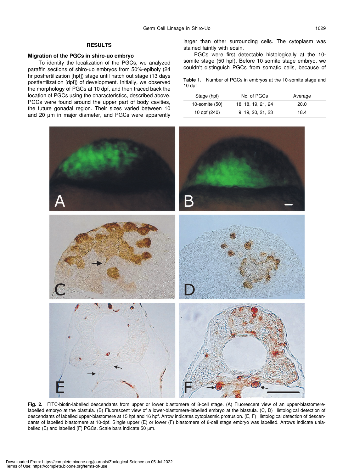# **RESULTS**

# **Migration of the PGCs in shiro-uo embryo**

To identify the localization of the PGCs, we analyzed paraffin sections of shiro-uo embryos from 50%-epiboly (24 hr postfertilization [hpf]) stage until hatch out stage (13 days postfertilization [dpf]) of development. Initially, we observed the morphology of PGCs at 10 dpf, and then traced back the location of PGCs using the characteristics, described above. PGCs were found around the upper part of body cavities, the future gonadal region. Their sizes varied between 10 and 20  $\mu$ m in major diameter, and PGCs were apparently larger than other surrounding cells. The cytoplasm was stained faintly with eosin.

PGCs were first detectable histologically at the 10 somite stage (50 hpf). Before 10-somite stage embryo, we couldn't distinguish PGCs from somatic cells, because of

**Table 1.** Number of PGCs in embryos at the 10-somite stage and 10 dpf

| Stage (hpf)    | No. of PGCs        | Average |  |
|----------------|--------------------|---------|--|
| 10-somite (50) | 18, 18, 19, 21, 24 | 20.0    |  |
| 10 dpf (240)   | 9, 19, 20, 21, 23  | 18.4    |  |



**Fig. 2.** FITC-biotin-labelled descendants from upper or lower blastomere of 8-cell stage. (A) Fluorescent view of an upper-blastomerelabelled embryo at the blastula. (B) Fluorescent view of a lower-blastomere-labelled embryo at the blastula. (C, D) Histological detection of descendants of labelled upper-blastomere at 15 hpf and 16 hpf. Arrow indicates cytoplasmic protrusion. (E, F) Histological detection of descendants of labelled blastomere at 10-dpf. Single upper (E) or lower (F) blastomere of 8-cell stage embryo was labelled. Arrows indicate unlabelled (E) and labelled (F) PGCs. Scale bars indicate 50  $\mu$ m.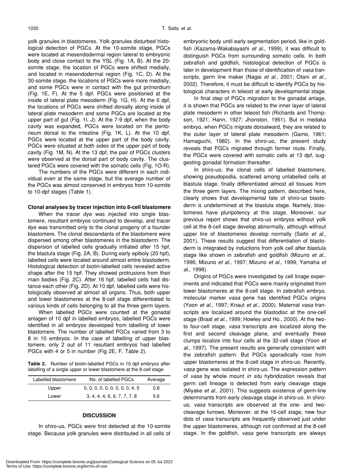yolk granules in blastomeres. Yolk granules disturbed histological detection of PGCs. At the 10-somite stage, PGCs were located at mesendodermal region lateral to embryonic body and close contact to the YSL (Fig. 1A, B). At the 20 somite stage, the location of PGCs were shifted medially, and located in mesendodermal region (Fig. 1C, D). At the 30-somite stage, the locations of PGCs were more medially, and some PGCs were in contact with the gut primordium (Fig. 1E, F). At the 5 dpf, PGCs were positioned at the inside of lateral plate mesoderm (Fig. 1G, H). At the 6 dpf, the locations of PGCs were shifted dorsally along inside of lateral plate mesoderm and some PGCs are located at the upper part of gut (Fig. 1I, J). At the 7-9 dpf, when the body cavity was expanded, PGCs were located on the peritoneum dorsal to the intestine (Fig. 1K, L). At the 10 dpf, PGCs were located at the upper part of the body cavity. PGCs were situated at both sides of the upper part of body cavity (Fig. 1M, N). At the 13 dpf, the pair of PGCs clusters were observed at the dorsal part of body cavity. The clustered PGCs were covered with the somatic cells (Fig. 1O-R).

The numbers of the PGCs were different in each individual even at the same stage, but the average number of the PGCs was almost conserved in embryos from 10-somite to 10-dpf stages (Table 1).

# **Clonal analyses by tracer injection into 8-cell blastomere**

When the tracer dye was injected into single blastomere, resultant embryos continued to develop, and tracer dye was transmitted only to the clonal progeny of a founder blastomere. The clonal descendants of the blastomere were dispersed among other blastomeres in the blastoderm. The dispersion of labelled cells gradually initiated after 15 hpf, the blastula stage (Fig. 2A, B). During early epiboly (20 hpf), labelled cells were located around almost entire blastoderm. Histological detection of biotin-labelled cells revealed active shape after the 15 hpf. They showed protrusions from their main bodies (Fig. 2C). After 16 hpf, labelled cells had distance each other (Fig. 2D). At 10 dpf, labelled cells were histologically observed at almost all organs. Thus, both upper and lower blastomeres at the 8-cell stage differentiated to various kinds of cells belonging to all the three germ layers.

When labelled PGCs were counted at the gonadal anlagen of 10 dpf in labelled embryos, labelled PGCs were identified in all embryos developed from labelling of lower blastomere. The number of labelled PGCs varied from 3 to 8 in 10 embryos. In the case of labelling of upper blastomere, only 2 out of 11 resultant embryos had labelled PGCs with 4 or 5 in number (Fig 2E, F. Table 2).

**Table 2.** Number of biotin-labelled PGCs in 10 dpf embryos after labelling of a single upper or lower blastomere at the 8-cell stage

| Labelled blastomere | No. of labelled PGCs            | Average |
|---------------------|---------------------------------|---------|
| Upper               | 0, 0, 0, 0, 0, 0, 0, 0, 0, 4, 5 | 0.8     |
| Lower               | 3, 4, 4, 4, 6, 6, 7, 7, 7, 8    | 5.6     |

#### **DISCUSSION**

In shiro-uo, PGCs were first detected at the 10-somite stage. Because yolk granules were distributed in all cells of embryonic body until early segmentation period, like in goldfish (Kazama-Wakabayashi *et al*., 1999), it was difficult to distinguish PGCs from surrounding somatic cells. In both zebrafish and goldfish, histological detection of PGCs is later in development than those of identification of *vasa* transcripts, germ line maker (Nagai *et al*., 2001; Otani *et al*., 2002). Therefore, it must be difficult to identify PGCs by histological characters in teleost at early developmental stage.

In final step of PGCs migration to the gonadal anlage, it is shown that PGCs are related to the inner layer of lateral plate mesoderm in other teleost fish (Richards and Thompson, 1921; Hann, 1927; Jhonston, 1951). But in medaka embryo, when PGCs migrate dorsalward, they are related to the outer layer of lateral plate mesoderm (Gamo, 1961; Hamaguchi, 1982). In the shiro-uo, the present study reveals that PGCs migrated through former route. Finally, the PGCs were covered with somatic cells at 13 dpf, suggesting gonadal formation thereafter.

In shiro-uo, the clonal cells of labelled blastomere, showing pseudopodia, scattered among unlabelled cells at blastula stage, finally differentiated almost all tissues from the three germ layers. The mixing pattern, described here, clearly shows that developmental fate of shiro-uo blastoderm is undetermined at the blastula stage. Namely, blastomeres have pluripotency at this stage. Moreover, our previous report shows that shiro-uo embryos without yolk cell at the 8-cell stage develop abnormally, although without upper tire of blastomeres develop normally (Saito *et al*., 2001). These results suggest that differentiation of blastoderm is integrated by inductions from yolk cell after blastula stage like shown in zebrafish and goldfish (Mizuno *et al*., 1996; Mizuno *et al*., 1997; Mizuno *et al*., 1999; Yamaha *et al*., 1998).

Origins of PGCs were investigated by cell linage experiments and indicated that PGCs were mainly originated from lower blastomeres at the 8-cell stage. In zebrafish embryo, molecular marker *vasa* gene has identified PGCs origins (Yoon *et al*., 1997; Knaut *et al*., 2000). Maternal *vasa* transcripts are localized around the blastodisc at the one-cell stage (Braat *et al*., 1999; Howley and Ho., 2000). At the twoto four-cell stage, *vasa* transcripts are localized along the first and second cleavage plane, and eventually these clumps localize into four cells at the 32-cell stage (Yoon *et al*., 1997). The present results are generally consistent with the zebrafish pattern. But PGCs sporadically rose from upper blastomeres at the 8-cell stage in shiro-uo. Recently, *vasa* gene was isolated in shiro-uo. The expression pattern of *vasa* by whole mount *in situ* hybridization reveals that germ cell lineage is detected from early cleavage stage (Miyake *et al*., 2001). This suggests existence of germ-line determinants from early cleavage stage in shiro-uo. In shirouo, *vasa* transcripts are observed at the one- and twocleavage furrows. Moreover, at the 16-cell stage, new four dots of *vasa* transcripts are frequently observed just under the upper blastomeres, although not confirmed at the 8-cell stage. In the goldfish, *vasa* gene transcripts are always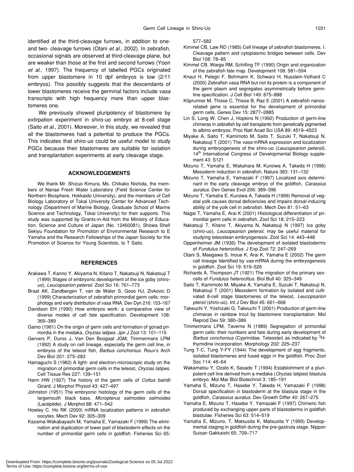identified at the third-cleavage furrows, in addition to oneand two- cleavage furrows (Otani *et al*., 2002). In zebrafish, occasional signals are observed at third-cleavage plane, but are weaker than those at the first and second furrows (Yoon *et al*., 1997). The frequency of labelled PGCs originated from upper blastomere in 10 dpf embryos is low (2/11 embryos). This possibly suggests that the descendants of lower blastomeres receive the germinal factors include *vasa* transcripts with high frequency more than upper blastomeres one.

We previously showed pluripotency of blastomere by extirpation experiment in shiro-uo embryo at 8-cell stage (Saito *et al*., 2001). Moreover, in this study, we revealed that all the blastomeres had a potential to produce the PGCs. This indicates that shiro-uo could be useful model to study PGCs because their blastomeres are suitable for isolation and transplantation experiments at early cleavage stage.

# **ACKNOWLEDGEMENTS**

We thank Mr. Shizuo Kimura, Ms. Chikako Nishida, the members of Nanae Fresh Water Laboratory (Field Science Center for Northern Biosphere, Hokkaido University), and the members of Cell Biology Laboratory of Tokai University Center for Advanced Technology (Department of Marine Biology, Graduate School of Marine Science and Technology, Tokai University) for their supports. This study was supported by Grants-in-Aid from the Ministry of Education, Science and Culture of Japan (No. 12460081), Showa Shell Sekiyu Foundation for Promotion of Environmental Research to E Yamaha and the Research Fellowships of the Japan Society for the Promotion of Science for Young Scientists, to T Saito.

### **REFERENCES**

- Arakawa T, Kanno Y, Akiyama N, Kitano T, Nakatsuji N, Nakatsuji T (1999) Stages of embryonic development of the ice goby (shirouo), *Leucopsarion petersii*. Zool Sci 16: 761–773
- Braat AK, Zandbergen T, van de Water S, Goos HJ, Zivkovic D (1999) Characterization of zebrafish primordial germ cells: morphology and early distribution of vasa RNA. Dev Dyn 216: 153–167
- Davidson EH (1990) How embryos work: a comparative view of diverse modes of cell fate specification. Development 108: 365–389
- Gamo (1961) On the origin of germ cells and formation of gonad primordia in the medaka, *Oryzias latipes*. Jpn J Zool 13: 101–115
- Gervers P, Duros J, Van Den Boogaat JGM, Timmermans LPM (1992) A study on cell lineage, especially the germ cell line, in embryos of the teleost fish, *Barbus conchonius*. Roux's Arch Dev Biol 201: 275–283
- Hamaguchi S (1982) A light- and electron-microscopic study on the migration of primordial germ cells in the teleost, *Oryzias latipes*. Cell Tissue Res 227: 139–151
- Hann HW (1927) The history of the germ cells of *Cottus bairdii* Girard. J Morphol Physiol 43: 427–497
- Johnston (1951) The embryonic histology of the germ cells of the largemouth black bass, *Micropterus salmoides salmoides* (Lacépède). J Morphol 88: 471–542
- Howley C, Ho RK (2000) mRNA localization patterns in zebrafish oocytes. Mech Dev 92: 305–309
- Kazama-Wakabayashi M, Yamaha E, Yamazaki F (1999) The elimination and duplication of lower part of blastoderm effects on the number of primordial germ cells in goldfish. Fisheries Sci 65:

577–582

- Kimmel CB, Law RD (1985) Cell lineage of zebrafish blastomeres. I. Cleavage pattern and cytoplasmic bridges between cells. Dev Biol 108: 78–85
- Kimmel CB, Warga RM, Schilling TF (1990) Origin and organization of the zebrafish fate map. Development 108: 581–594
- Knaut H, Pelegri F, Bohmann K, Schwarz H, Nusslein-Volhard C (2000) Zebrafish vasa RNA but not its protein is a component of the germ plasm and segregates asymmetrically before germline specification. J Cell Biol 149: 875–888
- Köprunner M, Thisse C, Thisse B, Raz E (2001) A zebrafish nanosrelated gene is essential for the development of primordial germ cells. Genes Dev 15: 2877–2885
- Lin S, Long W, Chen J, Hopkins N (1992) Production of germ-line chimeras in zebrafish by cell transplants from genetically pigmented to albino embryos. Proc Natl Acad Sci USA 89: 4519–4523
- Miyake A, Saito T, Kamimoto M, Saito T, Suzuki T, Nakatsuji N, Nakatsuji T (2001) The *vasa* mRNA expression and localization during embryogenesis of the shiro-uo (*Leucopsarion petersii*). 14<sup>th</sup> International Congress of Developmental Biology supplement 43: S121
- Mizuno T, Yamaha E, Wakahara M, Kuroiwa A, Takeda H (1996) Mesoderm induction in zebrafish. Nature 383: 131–132
- Mizuno T, Yamaha E, Yamazaki F (1997) Localized axis determinant in the early cleavage embryo of the goldfish, *Carassius auratus*. Dev Genes Evol 206: 389–396
- Mizuno T, Yamaha E, Kuroiwa A, Takeda H (1999) Removal of vegetal yolk causes dorsal deficencies and impairs dorsal-inducing ability of the yolk cell in zebrafish. Mech Dev 81: 51–63
- Nagai T, Yamaha E, Arai K (2001) Histological differentiation of primordial germ cells in zebrafish. Zool Sci 18; 215–223
- Nakatsuji T, Kitano T, Akiyama N, Nakatsuji N (1997) Ice goby (shiro-uo), *Leucopsarion petersii*, may be useful material for studying teleostean embryogenesis. Zool Sci 14: 443–448
- Oppenheimer JM (1936) The development of isolated blastoderms of *Fundulus heteroclitus*. J Exp Zool 72: 247–269
- Otani S, Maegawa S, Inoue K, Arai K, Yamaha E (2002) The germ cell lineage Identified by *vas*-mRNA during the embryogenesis in goldfish. Zool Sci 19: 519–526
- Richards A, Thompson JT (1921) The migration of the primary sexcells of *Fundulus heteroclitus*. Biol Bull 40: 325–349
- Saito T, Kamimoto M, Miyake A, Yamaha E, Suzuki T, Nakatsuji N, Nakatsuji T (2001) Mesoderm formation by isolated and cultivated 8-cell stage blastomeres of the teleost, *Leucopsarion ptersii* (shiro-uo). Int J Dev Biol 45: 661–668
- Takeuchi Y, Yoshizaki G, Takeuchi T (2001) Production of germ-line chimeras in rainbow trout by blastomere transplantation. Mol Reprod Dev 59: 380–389
- Timmermans LPM, Taverne N (1989) Segregation of primordial germ cells: their numbers and fate during early development of Barbus conchonius (Cyprinidae, Teleostei) as indicated by <sup>3</sup>Hthymidine incorporation. Morphology 202: 225–237
- Tung T-C, Tung Y-FY (1944) The development of egg fragments, isolated blastomeres and fused eggs in the goldfish. Proc Zool Soc 114: 46–64
- Wakamatsu Y, Ozato K, Sasado T (1994) Establishment of a pluripotent cell line derived from a medaka (*Oryzias latipes*) blastula embryo. Mol Mar Biol Biotechnol 3: 185–191
- Yamaha E, Mizuno T, Hasebe Y, Takeda H, Yamazaki F (1998) Dorsal specification in blastoderm at the blastula stage in the goldfish, *Carassius auratus*. Dev Growth Differ 40: 267–275
- Yamaha E, Mizuno T, Hasebe Y, Yamazaki F (1997) Chimeric fish produced by exchanging upper parts of blastoderms in goldfish blastulae. Fisheries Sci 63: 514–519
- Yamaha E, Mizuno, T, Matsusita K, Matsusita Y (1999) Developmental staging in goldfish during the pre-gastrula stage. Nippon Suisan Gakkaishi 65: 709–717